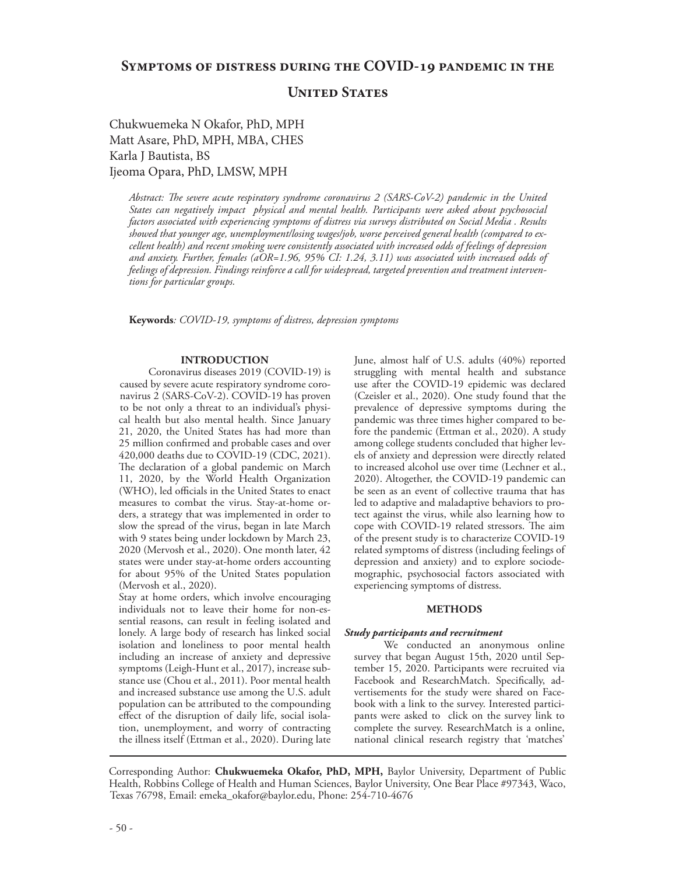**United States** 

Chukwuemeka N Okafor, PhD, MPH Matt Asare, PhD, MPH, MBA, CHES Karla J Bautista, BS Ijeoma Opara, PhD, LMSW, MPH

*Abstract: The severe acute respiratory syndrome coronavirus 2 (SARS-CoV-2) pandemic in the United States can negatively impact physical and mental health. Participants were asked about psychosocial factors associated with experiencing symptoms of distress via surveys distributed on Social Media . Results showed that younger age, unemployment/losing wages/job, worse perceived general health (compared to excellent health) and recent smoking were consistently associated with increased odds of feelings of depression and anxiety. Further, females (aOR=1.96, 95% CI: 1.24, 3.11) was associated with increased odds of feelings of depression. Findings reinforce a call for widespread, targeted prevention and treatment interventions for particular groups.*

**Keywords***: COVID-19, symptoms of distress, depression symptoms*

## **INTRODUCTION**

 Coronavirus diseases 2019 (COVID-19) is caused by severe acute respiratory syndrome coronavirus 2 (SARS-CoV-2). COVID-19 has proven to be not only a threat to an individual's physical health but also mental health. Since January 21, 2020, the United States has had more than 25 million confirmed and probable cases and over 420,000 deaths due to COVID-19 (CDC, 2021). The declaration of a global pandemic on March 11, 2020, by the World Health Organization (WHO), led officials in the United States to enact measures to combat the virus. Stay-at-home orders, a strategy that was implemented in order to slow the spread of the virus, began in late March with 9 states being under lockdown by March 23, 2020 (Mervosh et al., 2020). One month later, 42 states were under stay-at-home orders accounting for about 95% of the United States population (Mervosh et al., 2020).

Stay at home orders, which involve encouraging individuals not to leave their home for non-essential reasons, can result in feeling isolated and lonely. A large body of research has linked social isolation and loneliness to poor mental health including an increase of anxiety and depressive symptoms (Leigh-Hunt et al., 2017), increase substance use (Chou et al., 2011). Poor mental health and increased substance use among the U.S. adult population can be attributed to the compounding effect of the disruption of daily life, social isolation, unemployment, and worry of contracting the illness itself (Ettman et al., 2020). During late

June, almost half of U.S. adults (40%) reported struggling with mental health and substance use after the COVID-19 epidemic was declared (Czeisler et al., 2020). One study found that the prevalence of depressive symptoms during the pandemic was three times higher compared to before the pandemic (Ettman et al., 2020). A study among college students concluded that higher levels of anxiety and depression were directly related to increased alcohol use over time (Lechner et al., 2020). Altogether, the COVID-19 pandemic can be seen as an event of collective trauma that has led to adaptive and maladaptive behaviors to protect against the virus, while also learning how to cope with COVID-19 related stressors. The aim of the present study is to characterize COVID-19 related symptoms of distress (including feelings of depression and anxiety) and to explore sociodemographic, psychosocial factors associated with experiencing symptoms of distress.

#### **METHODS**

### *Study participants and recruitment*

 We conducted an anonymous online survey that began August 15th, 2020 until September 15, 2020. Participants were recruited via Facebook and ResearchMatch. Specifically, advertisements for the study were shared on Facebook with a link to the survey. Interested participants were asked to click on the survey link to complete the survey. ResearchMatch is a online, national clinical research registry that 'matches'

Corresponding Author: **Chukwuemeka Okafor, PhD, MPH,** Baylor University, Department of Public Health, Robbins College of Health and Human Sciences, Baylor University, One Bear Place #97343, Waco, Texas 76798, Email: emeka\_okafor@baylor.edu, Phone: 254-710-4676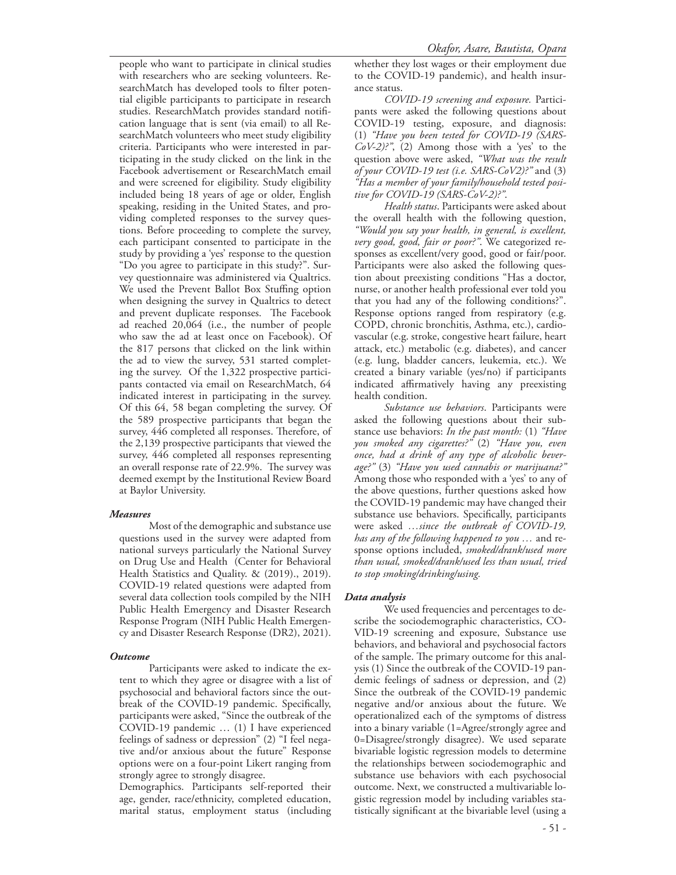people who want to participate in clinical studies with researchers who are seeking volunteers. ResearchMatch has developed tools to filter potential eligible participants to participate in research studies. ResearchMatch provides standard notification language that is sent (via email) to all ResearchMatch volunteers who meet study eligibility criteria. Participants who were interested in participating in the study clicked on the link in the Facebook advertisement or ResearchMatch email and were screened for eligibility. Study eligibility included being 18 years of age or older, English speaking, residing in the United States, and providing completed responses to the survey questions. Before proceeding to complete the survey, each participant consented to participate in the study by providing a 'yes' response to the question "Do you agree to participate in this study?". Survey questionnaire was administered via Qualtrics. We used the Prevent Ballot Box Stuffing option when designing the survey in Qualtrics to detect and prevent duplicate responses. The Facebook ad reached 20,064 (i.e., the number of people who saw the ad at least once on Facebook). Of the 817 persons that clicked on the link within the ad to view the survey, 531 started completing the survey. Of the 1,322 prospective participants contacted via email on ResearchMatch, 64 indicated interest in participating in the survey. Of this 64, 58 began completing the survey. Of the 589 prospective participants that began the survey, 446 completed all responses. Therefore, of the 2,139 prospective participants that viewed the survey, 446 completed all responses representing an overall response rate of 22.9%. The survey was deemed exempt by the Institutional Review Board at Baylor University.

## *Measures*

 Most of the demographic and substance use questions used in the survey were adapted from national surveys particularly the National Survey on Drug Use and Health (Center for Behavioral Health Statistics and Quality. & (2019)., 2019). COVID-19 related questions were adapted from several data collection tools compiled by the NIH Public Health Emergency and Disaster Research Response Program (NIH Public Health Emergency and Disaster Research Response (DR2), 2021).

## *Outcome*

 Participants were asked to indicate the extent to which they agree or disagree with a list of psychosocial and behavioral factors since the outbreak of the COVID-19 pandemic. Specifically, participants were asked, "Since the outbreak of the COVID-19 pandemic … (1) I have experienced feelings of sadness or depression" (2) "I feel negative and/or anxious about the future" Response options were on a four-point Likert ranging from strongly agree to strongly disagree.

Demographics. Participants self-reported their age, gender, race/ethnicity, completed education, marital status, employment status (including

whether they lost wages or their employment due to the COVID-19 pandemic), and health insurance status.

 *COVID-19 screening and exposure.* Participants were asked the following questions about COVID-19 testing, exposure, and diagnosis: (1) *"Have you been tested for COVID-19 (SARS-CoV-2)?"*, (2) Among those with a 'yes' to the question above were asked, *"What was the result of your COVID-19 test (i.e. SARS-CoV2)?"* and (3) *"Has a member of your family/household tested positive for COVID-19 (SARS-CoV-2)?"*.

 *Health status*. Participants were asked about the overall health with the following question, *"Would you say your health, in general, is excellent, very good, good, fair or poor?"*. We categorized responses as excellent/very good, good or fair/poor. Participants were also asked the following question about preexisting conditions "Has a doctor, nurse, or another health professional ever told you that you had any of the following conditions?". Response options ranged from respiratory (e.g. COPD, chronic bronchitis, Asthma, etc.), cardiovascular (e.g. stroke, congestive heart failure, heart attack, etc.) metabolic (e.g. diabetes), and cancer (e.g. lung, bladder cancers, leukemia, etc.). We created a binary variable (yes/no) if participants indicated affirmatively having any preexisting health condition.

 *Substance use behaviors*. Participants were asked the following questions about their substance use behaviors: *In the past month:* (1) *"Have you smoked any cigarettes?"* (2) *"Have you, even once, had a drink of any type of alcoholic beverage?"* (3) *"Have you used cannabis or marijuana?"*  Among those who responded with a 'yes' to any of the above questions, further questions asked how the COVID-19 pandemic may have changed their substance use behaviors. Specifically, participants were asked *…since the outbreak of COVID-19, has any of the following happened to you …* and response options included, *smoked/drank/used more than usual, smoked/drank/used less than usual, tried to stop smoking/drinking/using.*

## *Data analysis*

 We used frequencies and percentages to describe the sociodemographic characteristics, CO-VID-19 screening and exposure, Substance use behaviors, and behavioral and psychosocial factors of the sample. The primary outcome for this analysis (1) Since the outbreak of the COVID-19 pandemic feelings of sadness or depression, and (2) Since the outbreak of the COVID-19 pandemic negative and/or anxious about the future. We operationalized each of the symptoms of distress into a binary variable (1=Agree/strongly agree and 0=Disagree/strongly disagree). We used separate bivariable logistic regression models to determine the relationships between sociodemographic and substance use behaviors with each psychosocial outcome. Next, we constructed a multivariable logistic regression model by including variables statistically significant at the bivariable level (using a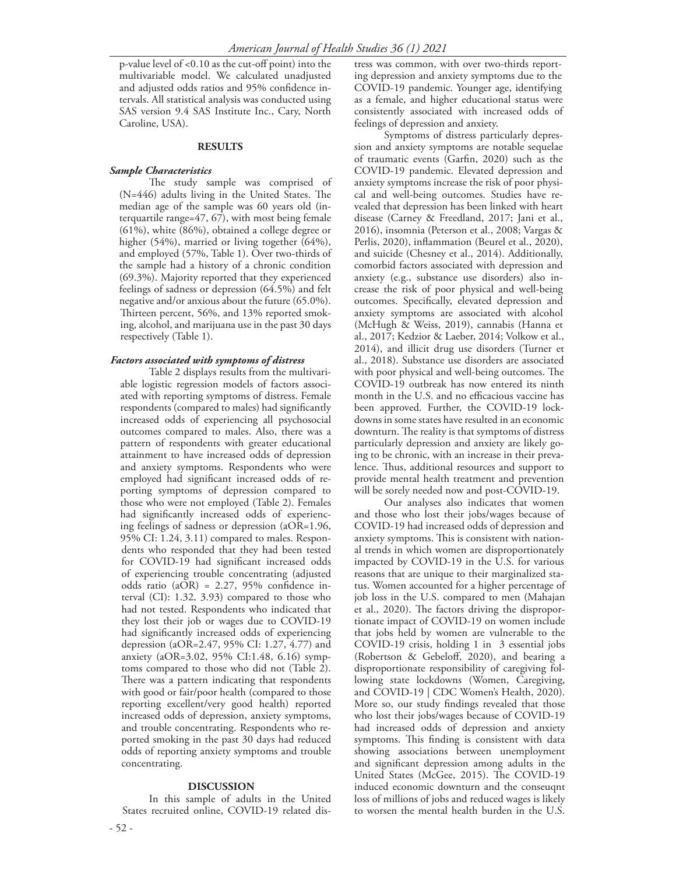p-value level of <0.10 as the cut-off point) into the multivariable model. We calculated unadjusted and adjusted odds ratios and 95% confidence intervals. All statistical analysis was conducted using SAS version 9.4 SAS Institute Inc., Cary, North Caroline, USA).

#### **RESULTS**

#### *Sample Characteristics*

 The study sample was comprised of (N=446) adults living in the United States. The median age of the sample was 60 years old (interquartile range=47, 67), with most being female (61%), white (86%), obtained a college degree or higher (54%), married or living together (64%), and employed (57%, Table 1). Over two-thirds of the sample had a history of a chronic condition (69.3%). Majority reported that they experienced feelings of sadness or depression (64.5%) and felt negative and/or anxious about the future (65.0%). Thirteen percent, 56%, and 13% reported smoking, alcohol, and marijuana use in the past 30 days respectively (Table 1).

#### *Factors associated with symptoms of distress*

 Table 2 displays results from the multivariable logistic regression models of factors associated with reporting symptoms of distress. Female respondents (compared to males) had significantly increased odds of experiencing all psychosocial outcomes compared to males. Also, there was a pattern of respondents with greater educational attainment to have increased odds of depression and anxiety symptoms. Respondents who were employed had significant increased odds of reporting symptoms of depression compared to those who were not employed (Table 2). Females had significantly increased odds of experiencing feelings of sadness or depression (aOR=1.96, 95% CI: 1.24, 3.11) compared to males. Respondents who responded that they had been tested for COVID-19 had significant increased odds of experiencing trouble concentrating (adjusted odds ratio (aOR) = 2.27, 95% confidence interval (CI): 1.32, 3.93) compared to those who had not tested. Respondents who indicated that they lost their job or wages due to COVID-19 had significantly increased odds of experiencing depression (aOR=2.47, 95% CI: 1.27, 4.77) and anxiety (aOR=3.02, 95% CI:1.48, 6.16) symptoms compared to those who did not (Table 2). There was a pattern indicating that respondents with good or fair/poor health (compared to those reporting excellent/very good health) reported increased odds of depression, anxiety symptoms, and trouble concentrating. Respondents who reported smoking in the past 30 days had reduced odds of reporting anxiety symptoms and trouble concentrating.

#### **DISCUSSION**

 In this sample of adults in the United States recruited online, COVID-19 related dis-

tress was common, with over two-thirds reporting depression and anxiety symptoms due to the COVID-19 pandemic. Younger age, identifying as a female, and higher educational status were consistently associated with increased odds of feelings of depression and anxiety.

 Symptoms of distress particularly depression and anxiety symptoms are notable sequelae of traumatic events (Garfin, 2020) such as the COVID-19 pandemic. Elevated depression and anxiety symptoms increase the risk of poor physical and well-being outcomes. Studies have revealed that depression has been linked with heart disease (Carney & Freedland, 2017; Jani et al., 2016), insomnia (Peterson et al., 2008; Vargas & Perlis, 2020), inflammation (Beurel et al., 2020), and suicide (Chesney et al., 2014). Additionally, comorbid factors associated with depression and anxiety (e.g., substance use disorders) also increase the risk of poor physical and well-being outcomes. Specifically, elevated depression and anxiety symptoms are associated with alcohol (McHugh & Weiss, 2019), cannabis (Hanna et al., 2017; Kedzior & Laeber, 2014; Volkow et al., 2014), and illicit drug use disorders (Turner et al., 2018). Substance use disorders are associated with poor physical and well-being outcomes. The COVID-19 outbreak has now entered its ninth month in the U.S. and no efficacious vaccine has been approved. Further, the COVID-19 lockdowns in some states have resulted in an economic downturn. The reality is that symptoms of distress particularly depression and anxiety are likely going to be chronic, with an increase in their prevalence. Thus, additional resources and support to provide mental health treatment and prevention will be sorely needed now and post-COVID-19.

 Our analyses also indicates that women and those who lost their jobs/wages because of COVID-19 had increased odds of depression and anxiety symptoms. This is consistent with national trends in which women are disproportionately impacted by COVID-19 in the U.S. for various reasons that are unique to their marginalized status. Women accounted for a higher percentage of job loss in the U.S. compared to men (Mahajan et al., 2020). The factors driving the disproportionate impact of COVID-19 on women include that jobs held by women are vulnerable to the COVID-19 crisis, holding 1 in 3 essential jobs (Robertson & Gebeloff, 2020), and bearing a disproportionate responsibility of caregiving following state lockdowns (Women, Caregiving, and COVID-19 | CDC Women's Health, 2020). More so, our study findings revealed that those who lost their jobs/wages because of COVID-19 had increased odds of depression and anxiety symptoms. This finding is consistent with data showing associations between unemployment and significant depression among adults in the United States (McGee, 2015). The COVID-19 induced economic downturn and the conseuqnt loss of millions of jobs and reduced wages is likely to worsen the mental health burden in the U.S.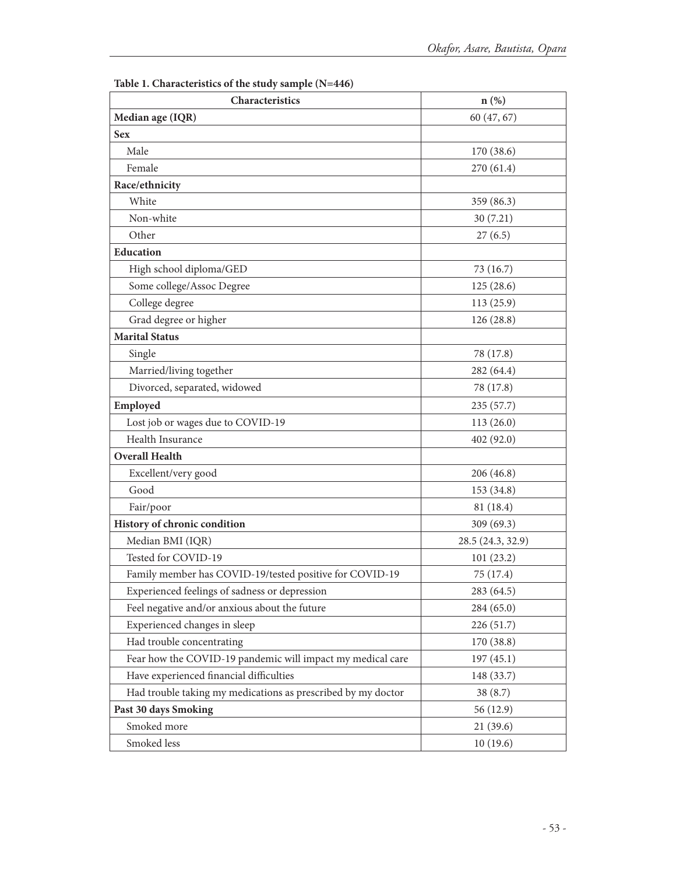| Table 1. Characteristics of the study sample (N=446)         |                   |  |  |  |  |  |
|--------------------------------------------------------------|-------------------|--|--|--|--|--|
| Characteristics                                              | $n$ (%)           |  |  |  |  |  |
| Median age (IQR)                                             | 60 (47, 67)       |  |  |  |  |  |
| <b>Sex</b>                                                   |                   |  |  |  |  |  |
| Male                                                         | 170 (38.6)        |  |  |  |  |  |
| Female                                                       | 270 (61.4)        |  |  |  |  |  |
| Race/ethnicity                                               |                   |  |  |  |  |  |
| White                                                        | 359 (86.3)        |  |  |  |  |  |
| Non-white                                                    | 30(7.21)          |  |  |  |  |  |
| Other                                                        | 27(6.5)           |  |  |  |  |  |
| Education                                                    |                   |  |  |  |  |  |
| High school diploma/GED                                      | 73 (16.7)         |  |  |  |  |  |
| Some college/Assoc Degree                                    | 125(28.6)         |  |  |  |  |  |
| College degree                                               | 113(25.9)         |  |  |  |  |  |
| Grad degree or higher                                        | 126 (28.8)        |  |  |  |  |  |
| <b>Marital Status</b>                                        |                   |  |  |  |  |  |
| Single                                                       | 78 (17.8)         |  |  |  |  |  |
| Married/living together                                      | 282 (64.4)        |  |  |  |  |  |
| Divorced, separated, widowed                                 | 78 (17.8)         |  |  |  |  |  |
| Employed                                                     | 235(57.7)         |  |  |  |  |  |
| Lost job or wages due to COVID-19                            | 113(26.0)         |  |  |  |  |  |
| Health Insurance                                             | 402 (92.0)        |  |  |  |  |  |
| <b>Overall Health</b>                                        |                   |  |  |  |  |  |
| Excellent/very good                                          | 206 (46.8)        |  |  |  |  |  |
| Good                                                         | 153 (34.8)        |  |  |  |  |  |
| Fair/poor                                                    | 81 (18.4)         |  |  |  |  |  |
| History of chronic condition                                 | 309 (69.3)        |  |  |  |  |  |
| Median BMI (IQR)                                             | 28.5 (24.3, 32.9) |  |  |  |  |  |
| Tested for COVID-19                                          | 101(23.2)         |  |  |  |  |  |
| Family member has COVID-19/tested positive for COVID-19      | 75 (17.4)         |  |  |  |  |  |
| Experienced feelings of sadness or depression                | 283 (64.5)        |  |  |  |  |  |
| Feel negative and/or anxious about the future                | 284 (65.0)        |  |  |  |  |  |
| Experienced changes in sleep                                 | 226 (51.7)        |  |  |  |  |  |
| Had trouble concentrating                                    | 170 (38.8)        |  |  |  |  |  |
| Fear how the COVID-19 pandemic will impact my medical care   | 197(45.1)         |  |  |  |  |  |
| Have experienced financial difficulties                      | 148 (33.7)        |  |  |  |  |  |
| Had trouble taking my medications as prescribed by my doctor | 38(8.7)           |  |  |  |  |  |
| Past 30 days Smoking                                         | 56 (12.9)         |  |  |  |  |  |
| Smoked more                                                  | 21(39.6)          |  |  |  |  |  |

Smoked less 10 (19.6)

**Table 1. Characteristics of the study sample (N=446)**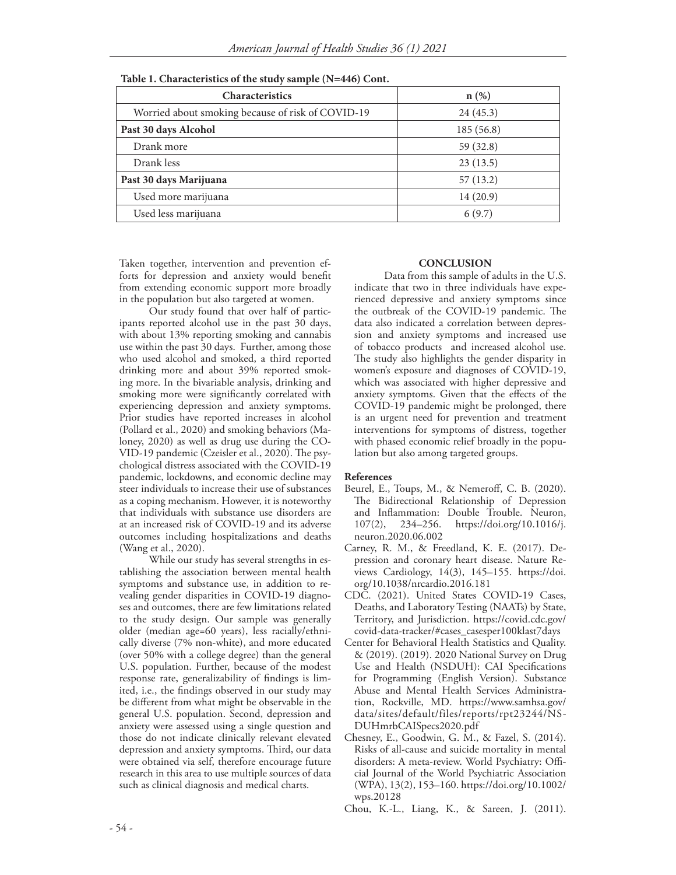| $\sim$                                            |           |  |  |  |  |
|---------------------------------------------------|-----------|--|--|--|--|
| <b>Characteristics</b>                            | $n$ (%)   |  |  |  |  |
| Worried about smoking because of risk of COVID-19 | 24(45.3)  |  |  |  |  |
| Past 30 days Alcohol                              | 185(56.8) |  |  |  |  |
| Drank more                                        | 59 (32.8) |  |  |  |  |
| Drank less                                        | 23(13.5)  |  |  |  |  |
| Past 30 days Marijuana                            | 57(13.2)  |  |  |  |  |
| Used more marijuana                               | 14(20.9)  |  |  |  |  |
| Used less marijuana                               | 6(9.7)    |  |  |  |  |

**Table 1. Characteristics of the study sample (N=446) Cont.**

Taken together, intervention and prevention efforts for depression and anxiety would benefit from extending economic support more broadly in the population but also targeted at women.

 Our study found that over half of participants reported alcohol use in the past 30 days, with about 13% reporting smoking and cannabis use within the past 30 days. Further, among those who used alcohol and smoked, a third reported drinking more and about 39% reported smoking more. In the bivariable analysis, drinking and smoking more were significantly correlated with experiencing depression and anxiety symptoms. Prior studies have reported increases in alcohol (Pollard et al., 2020) and smoking behaviors (Maloney, 2020) as well as drug use during the CO-VID-19 pandemic (Czeisler et al., 2020). The psychological distress associated with the COVID-19 pandemic, lockdowns, and economic decline may steer individuals to increase their use of substances as a coping mechanism. However, it is noteworthy that individuals with substance use disorders are at an increased risk of COVID-19 and its adverse outcomes including hospitalizations and deaths (Wang et al., 2020).

 While our study has several strengths in establishing the association between mental health symptoms and substance use, in addition to revealing gender disparities in COVID-19 diagnoses and outcomes, there are few limitations related to the study design. Our sample was generally older (median age=60 years), less racially/ethnically diverse (7% non-white), and more educated (over 50% with a college degree) than the general U.S. population. Further, because of the modest response rate, generalizability of findings is limited, i.e., the findings observed in our study may be different from what might be observable in the general U.S. population. Second, depression and anxiety were assessed using a single question and those do not indicate clinically relevant elevated depression and anxiety symptoms. Third, our data were obtained via self, therefore encourage future research in this area to use multiple sources of data such as clinical diagnosis and medical charts.

#### **CONCLUSION**

 Data from this sample of adults in the U.S. indicate that two in three individuals have experienced depressive and anxiety symptoms since the outbreak of the COVID-19 pandemic. The data also indicated a correlation between depression and anxiety symptoms and increased use of tobacco products and increased alcohol use. The study also highlights the gender disparity in women's exposure and diagnoses of COVID-19, which was associated with higher depressive and anxiety symptoms. Given that the effects of the COVID-19 pandemic might be prolonged, there is an urgent need for prevention and treatment interventions for symptoms of distress, together with phased economic relief broadly in the population but also among targeted groups.

#### **References**

- Beurel, E., Toups, M., & Nemeroff, C. B. (2020). The Bidirectional Relationship of Depression and Inflammation: Double Trouble. Neuron, 107(2), 234–256. https://doi.org/10.1016/j. 234–256. https://doi.org/10.1016/j. neuron.2020.06.002
- Carney, R. M., & Freedland, K. E. (2017). Depression and coronary heart disease. Nature Reviews Cardiology, 14(3), 145–155. https://doi. org/10.1038/nrcardio.2016.181
- CDC. (2021). United States COVID-19 Cases, Deaths, and Laboratory Testing (NAATs) by State, Territory, and Jurisdiction. https://covid.cdc.gov/ covid-data-tracker/#cases\_casesper100klast7days
- Center for Behavioral Health Statistics and Quality. & (2019). (2019). 2020 National Survey on Drug Use and Health (NSDUH): CAI Specifications for Programming (English Version). Substance Abuse and Mental Health Services Administration, Rockville, MD. https://www.samhsa.gov/ data/sites/default/files/reports/rpt23244/NS-DUHmrbCAISpecs2020.pdf
- Chesney, E., Goodwin, G. M., & Fazel, S. (2014). Risks of all-cause and suicide mortality in mental disorders: A meta-review. World Psychiatry: Official Journal of the World Psychiatric Association (WPA), 13(2), 153–160. https://doi.org/10.1002/ wps.20128
- Chou, K.-L., Liang, K., & Sareen, J. (2011).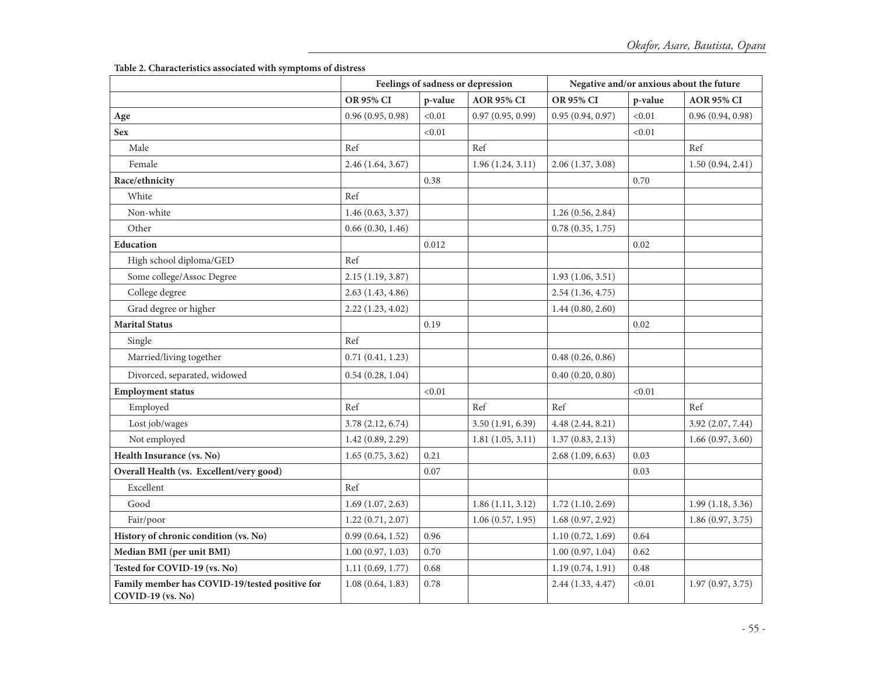**Table 2. Characteristics associated with symptoms of distress**

|                                                                     | Feelings of sadness or depression |         |                   | Negative and/or anxious about the future |         |                   |
|---------------------------------------------------------------------|-----------------------------------|---------|-------------------|------------------------------------------|---------|-------------------|
|                                                                     | <b>OR 95% CI</b>                  | p-value | <b>AOR 95% CI</b> | <b>OR 95% CI</b>                         | p-value | <b>AOR 95% CI</b> |
| Age                                                                 | 0.96(0.95, 0.98)                  | < 0.01  | 0.97(0.95, 0.99)  | 0.95(0.94, 0.97)                         | < 0.01  | 0.96(0.94, 0.98)  |
| <b>Sex</b>                                                          |                                   | < 0.01  |                   |                                          | < 0.01  |                   |
| Male                                                                | Ref                               |         | Ref               |                                          |         | Ref               |
| Female                                                              | 2.46(1.64, 3.67)                  |         | 1.96(1.24, 3.11)  | 2.06(1.37, 3.08)                         |         | 1.50(0.94, 2.41)  |
| Race/ethnicity                                                      |                                   | 0.38    |                   |                                          | 0.70    |                   |
| White                                                               | Ref                               |         |                   |                                          |         |                   |
| Non-white                                                           | 1.46(0.63, 3.37)                  |         |                   | 1.26(0.56, 2.84)                         |         |                   |
| Other                                                               | 0.66(0.30, 1.46)                  |         |                   | 0.78(0.35, 1.75)                         |         |                   |
| <b>Education</b>                                                    |                                   | 0.012   |                   |                                          | 0.02    |                   |
| High school diploma/GED                                             | Ref                               |         |                   |                                          |         |                   |
| Some college/Assoc Degree                                           | 2.15(1.19, 3.87)                  |         |                   | 1.93(1.06, 3.51)                         |         |                   |
| College degree                                                      | 2.63(1.43, 4.86)                  |         |                   | 2.54(1.36, 4.75)                         |         |                   |
| Grad degree or higher                                               | 2.22(1.23, 4.02)                  |         |                   | 1.44(0.80, 2.60)                         |         |                   |
| <b>Marital Status</b>                                               |                                   | 0.19    |                   |                                          | 0.02    |                   |
| Single                                                              | Ref                               |         |                   |                                          |         |                   |
| Married/living together                                             | 0.71(0.41, 1.23)                  |         |                   | 0.48(0.26, 0.86)                         |         |                   |
| Divorced, separated, widowed                                        | 0.54(0.28, 1.04)                  |         |                   | 0.40(0.20, 0.80)                         |         |                   |
| <b>Employment status</b>                                            |                                   | < 0.01  |                   |                                          | < 0.01  |                   |
| Employed                                                            | Ref                               |         | Ref               | Ref                                      |         | Ref               |
| Lost job/wages                                                      | 3.78(2.12, 6.74)                  |         | 3.50(1.91, 6.39)  | 4.48 (2.44, 8.21)                        |         | 3.92 (2.07, 7.44) |
| Not employed                                                        | 1.42(0.89, 2.29)                  |         | 1.81(1.05, 3.11)  | 1.37(0.83, 2.13)                         |         | 1.66(0.97, 3.60)  |
| Health Insurance (vs. No)                                           | 1.65(0.75, 3.62)                  | 0.21    |                   | 2.68(1.09, 6.63)                         | 0.03    |                   |
| Overall Health (vs. Excellent/very good)                            |                                   | 0.07    |                   |                                          | 0.03    |                   |
| Excellent                                                           | Ref                               |         |                   |                                          |         |                   |
| Good                                                                | 1.69(1.07, 2.63)                  |         | 1.86(1.11, 3.12)  | 1.72(1.10, 2.69)                         |         | 1.99(1.18, 3.36)  |
| Fair/poor                                                           | 1.22(0.71, 2.07)                  |         | 1.06(0.57, 1.95)  | 1.68(0.97, 2.92)                         |         | 1.86(0.97, 3.75)  |
| History of chronic condition (vs. No)                               | 0.99(0.64, 1.52)                  | 0.96    |                   | 1.10(0.72, 1.69)                         | 0.64    |                   |
| Median BMI (per unit BMI)                                           | 1.00(0.97, 1.03)                  | 0.70    |                   | 1.00(0.97, 1.04)                         | 0.62    |                   |
| Tested for COVID-19 (vs. No)                                        | 1.11(0.69, 1.77)                  | 0.68    |                   | 1.19(0.74, 1.91)                         | 0.48    |                   |
| Family member has COVID-19/tested positive for<br>COVID-19 (vs. No) | 1.08(0.64, 1.83)                  | 0.78    |                   | 2.44(1.33, 4.47)                         | < 0.01  | 1.97(0.97, 3.75)  |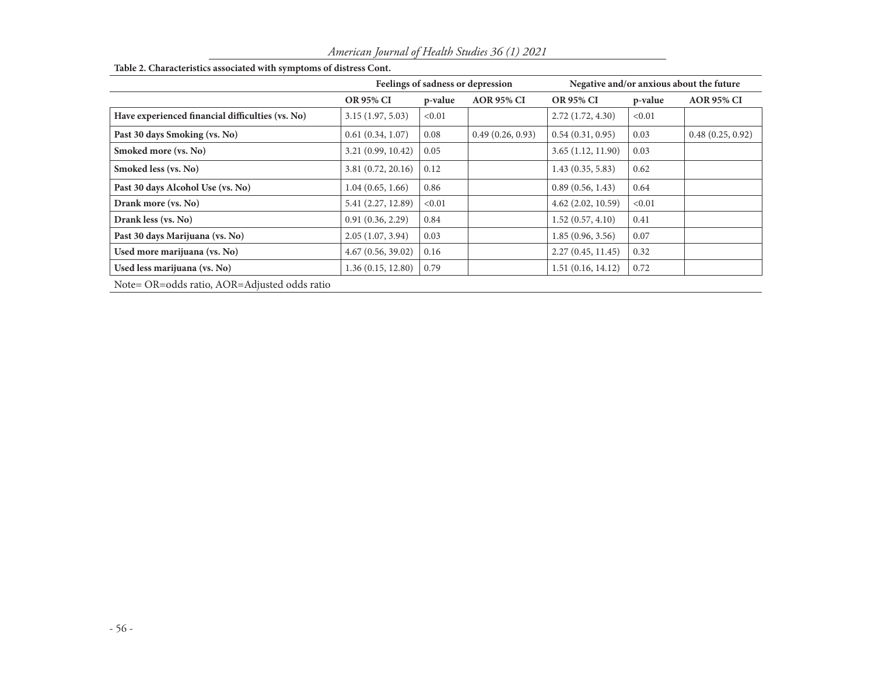|                                                  | Feelings of sadness or depression |         |                   | Negative and/or anxious about the future |         |                   |
|--------------------------------------------------|-----------------------------------|---------|-------------------|------------------------------------------|---------|-------------------|
|                                                  | <b>OR 95% CI</b>                  | p-value | <b>AOR 95% CI</b> | <b>OR 95% CI</b>                         | p-value | <b>AOR 95% CI</b> |
| Have experienced financial difficulties (vs. No) | 3.15(1.97, 5.03)                  | < 0.01  |                   | 2.72(1.72, 4.30)                         | < 0.01  |                   |
| Past 30 days Smoking (vs. No)                    | 0.61(0.34, 1.07)                  | 0.08    | 0.49(0.26, 0.93)  | 0.54(0.31, 0.95)                         | 0.03    | 0.48(0.25, 0.92)  |
| Smoked more (vs. No)                             | 3.21(0.99, 10.42)                 | 0.05    |                   | 3.65(1.12, 11.90)                        | 0.03    |                   |
| Smoked less (vs. No)                             | 3.81(0.72, 20.16)                 | 0.12    |                   | 1.43(0.35, 5.83)                         | 0.62    |                   |
| Past 30 days Alcohol Use (vs. No)                | 1.04(0.65, 1.66)                  | 0.86    |                   | 0.89(0.56, 1.43)                         | 0.64    |                   |
| Drank more (vs. No)                              | 5.41 (2.27, 12.89)                | < 0.01  |                   | $4.62$ $(2.02, 10.59)$                   | < 0.01  |                   |
| Drank less (vs. No)                              | 0.91(0.36, 2.29)                  | 0.84    |                   | 1.52(0.57, 4.10)                         | 0.41    |                   |
| Past 30 days Marijuana (vs. No)                  | 2.05(1.07, 3.94)                  | 0.03    |                   | 1.85(0.96, 3.56)                         | 0.07    |                   |
| Used more marijuana (vs. No)                     | 4.67(0.56, 39.02)                 | 0.16    |                   | 2.27(0.45, 11.45)                        | 0.32    |                   |
| Used less marijuana (vs. No)                     | 1.36(0.15, 12.80)                 | 0.79    |                   | 1.51(0.16, 14.12)                        | 0.72    |                   |
| Note= OR=odds ratio, AOR=Adjusted odds ratio     |                                   |         |                   |                                          |         |                   |

# **Table 2. Characteristics associated with symptoms of distress Cont.**